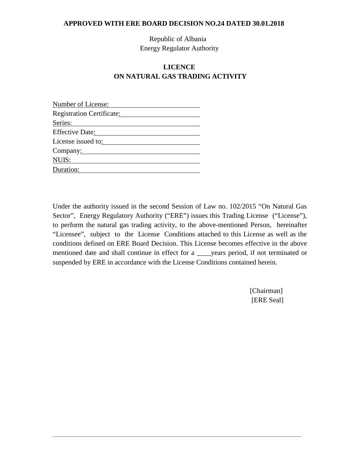Republic of Albania Energy Regulator Authority

# **LICENCE ON NATURAL GAS TRADING ACTIVITY**

| Number of License:        |  |
|---------------------------|--|
| Registration Certificate: |  |
| Series:                   |  |
| <b>Effective Date:</b>    |  |
| License issued to:        |  |
| Company:                  |  |
| NUIS:                     |  |
| Duration:                 |  |

Under the authority issued in the second Session of Law no. 102/2015 "On Natural Gas Sector", Energy Regulatory Authority ("ERE") issues this Trading License ("License"), to perform the natural gas trading activity, to the above-mentioned Person, hereinafter "Licensee", subject to the License Conditions attached to this License as well as the conditions defined on ERE Board Decision. This License becomes effective in the above mentioned date and shall continue in effect for a z vears period, if not terminated or suspended by ERE in accordance with the License Conditions contained herein.

> [Chairman] [ERE Seal]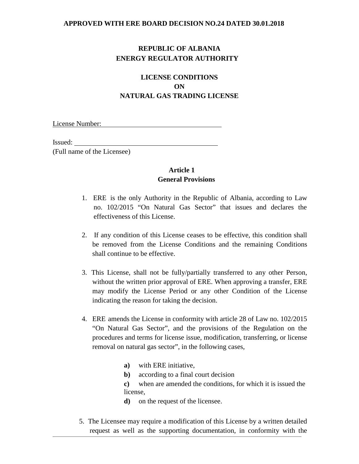# **REPUBLIC OF ALBANIA ENERGY REGULATOR AUTHORITY**

# **LICENSE CONDITIONS ON NATURAL GAS TRADING LICENSE**

License Number:

Issued:

(Full name of the Licensee)

#### **Article 1 General Provisions**

- 1. ERE is the only Authority in the Republic of Albania, according to Law no. 102/2015 "On Natural Gas Sector" that issues and declares the effectiveness of this License.
- 2. If any condition of this License ceases to be effective, this condition shall be removed from the License Conditions and the remaining Conditions shall continue to be effective.
- 3. This License, shall not be fully/partially transferred to any other Person, without the written prior approval of ERE. When approving a transfer, ERE may modify the License Period or any other Condition of the License indicating the reason for taking the decision.
- 4. ERE amends the License in conformity with article 28 of Law no. 102/2015 "On Natural Gas Sector", and the provisions of the Regulation on the procedures and terms for license issue, modification, transferring, or license removal on natural gas sector", in the following cases,
	- **a)** with ERE initiative,
	- **b)** according to a final court decision
	- **c)** when are amended the conditions, for which it is issued the license,
	- **d)** on the request of the licensee.
- 5. The Licensee may require a modification of this License by a written detailed request as well as the supporting documentation, in conformity with the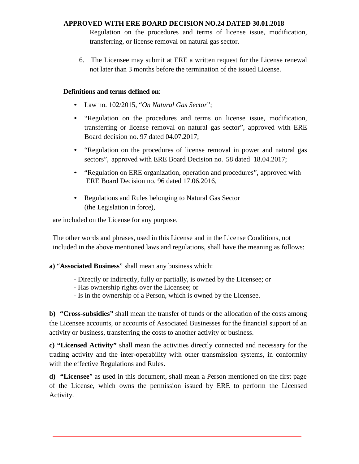Regulation on the procedures and terms of license issue, modification, transferring, or license removal on natural gas sector.

6. The Licensee may submit at ERE a written request for the License renewal not later than 3 months before the termination of the issued License.

## **Definitions and terms defined on**:

- Law no. 102/2015, "*On Natural Gas Sector*";
- "Regulation on the procedures and terms on license issue, modification, transferring or license removal on natural gas sector", approved with ERE Board decision no. 97 dated 04.07.2017;
- "Regulation on the procedures of license removal in power and natural gas sectors", approved with ERE Board Decision no. 58 dated 18.04.2017;
- "Regulation on ERE organization, operation and procedures", approved with ERE Board Decision no. 96 dated 17.06.2016,
- Regulations and Rules belonging to Natural Gas Sector (the Legislation in force),

are included on the License for any purpose.

The other words and phrases, used in this License and in the License Conditions, not included in the above mentioned laws and regulations, shall have the meaning as follows:

## **a)** "**Associated Business**" shall mean any business which:

- **-** Directly or indirectly, fully or partially, is owned by the Licensee; or
- **-** Has ownership rights over the Licensee; or
- Is in the ownership of a Person, which is owned by the Licensee.

**b) "Cross-subsidies"** shall mean the transfer of funds or the allocation of the costs among the Licensee accounts, or accounts of Associated Businesses for the financial support of an activity or business, transferring the costs to another activity or business.

**c) "Licensed Activity"** shall mean the activities directly connected and necessary for the trading activity and the inter-operability with other transmission systems, in conformity with the effective Regulations and Rules.

**d) "Licensee**" as used in this document, shall mean a Person mentioned on the first page of the License, which owns the permission issued by ERE to perform the Licensed Activity.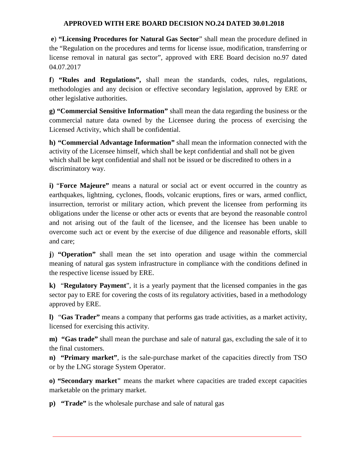**e**) **"Licensing Procedures for Natural Gas Sector**" shall mean the procedure defined in the "Regulation on the procedures and terms for license issue, modification, transferring or license removal in natural gas sector", approved with ERE Board decision no.97 dated 04.07.2017

**f**) **"Rules and Regulations",** shall mean the standards, codes, rules, regulations, methodologies and any decision or effective secondary legislation, approved by ERE or other legislative authorities.

**g) "Commercial Sensitive Information"** shall mean the data regarding the business or the commercial nature data owned by the Licensee during the process of exercising the Licensed Activity, which shall be confidential.

**h) "Commercial Advantage Information"** shall mean the information connected with the activity of the Licensee himself, which shall be kept confidential and shall not be given which shall be kept confidential and shall not be issued or be discredited to others in a discriminatory way.

**i)** "**Force Majeure"** means a natural or social act or event occurred in the country as earthquakes, lightning, cyclones, floods, volcanic eruptions, fires or wars, armed conflict, insurrection, terrorist or military action, which prevent the licensee from performing its obligations under the license or other acts or events that are beyond the reasonable control and not arising out of the fault of the licensee, and the licensee has been unable to overcome such act or event by the exercise of due diligence and reasonable efforts, skill and care;

**j**) **"Operation"** shall mean the set into operation and usage within the commercial meaning of natural gas system infrastructure in compliance with the conditions defined in the respective license issued by ERE.

**k)** "**Regulatory Payment**", it is a yearly payment that the licensed companies in the gas sector pay to ERE for covering the costs of its regulatory activities, based in a methodology approved by ERE.

**l)** "**Gas Trader"** means a company that performs gas trade activities, as a market activity, licensed for exercising this activity.

**m) "Gas trade"** shall mean the purchase and sale of natural gas, excluding the sale of it to the final customers.

**n) "Primary market"**, is the sale-purchase market of the capacities directly from TSO or by the LNG storage System Operator.

**o) "Secondary market"** means the market where capacities are traded except capacities marketable on the primary market.

**p) "Trade"** is the wholesale purchase and sale of natural gas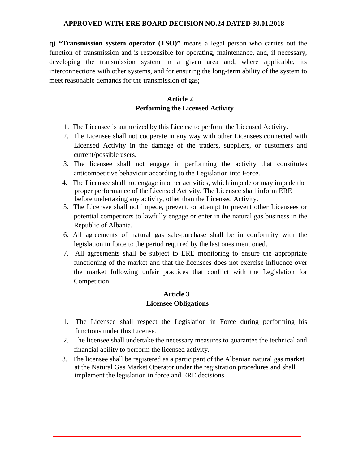**q) "Transmission system operator (TSO)"** means a legal person who carries out the function of transmission and is responsible for operating, maintenance, and, if necessary, developing the transmission system in a given area and, where applicable, its interconnections with other systems, and for ensuring the long-term ability of the system to meet reasonable demands for the transmission of gas;

## **Article 2 Performing the Licensed Activity**

- 1. The Licensee is authorized by this License to perform the Licensed Activity.
- 2. The Licensee shall not cooperate in any way with other Licensees connected with Licensed Activity in the damage of the traders, suppliers, or customers and current/possible users.
- 3. The licensee shall not engage in performing the activity that constitutes anticompetitive behaviour according to the Legislation into Force.
- 4. The Licensee shall not engage in other activities, which impede or may impede the proper performance of the Licensed Activity. The Licensee shall inform ERE before undertaking any activity, other than the Licensed Activity.
- 5. The Licensee shall not impede, prevent, or attempt to prevent other Licensees or potential competitors to lawfully engage or enter in the natural gas business in the Republic of Albania.
- 6. All agreements of natural gas sale-purchase shall be in conformity with the legislation in force to the period required by the last ones mentioned.
- 7. All agreements shall be subject to ERE monitoring to ensure the appropriate functioning of the market and that the licensees does not exercise influence over the market following unfair practices that conflict with the Legislation for Competition.

#### **Article 3 Licensee Obligations**

- 1. The Licensee shall respect the Legislation in Force during performing his functions under this License.
- 2. The licensee shall undertake the necessary measures to guarantee the technical and financial ability to perform the licensed activity.
- 3. The licensee shall be registered as a participant of the Albanian natural gas market at the Natural Gas Market Operator under the registration procedures and shall implement the legislation in force and ERE decisions.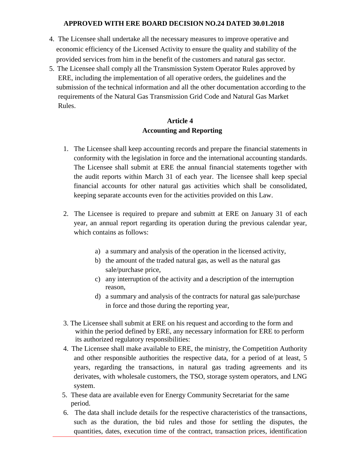- 4. The Licensee shall undertake all the necessary measures to improve operative and economic efficiency of the Licensed Activity to ensure the quality and stability of the provided services from him in the benefit of the customers and natural gas sector.
- 5. The Licensee shall comply all the Transmission System Operator Rules approved by ERE, including the implementation of all operative orders, the guidelines and the submission of the technical information and all the other documentation according to the requirements of the Natural Gas Transmission Grid Code and Natural Gas Market Rules.

# **Article 4 Accounting and Reporting**

- 1. The Licensee shall keep accounting records and prepare the financial statements in conformity with the legislation in force and the international accounting standards. The Licensee shall submit at ERE the annual financial statements together with the audit reports within March 31 of each year. The licensee shall keep special financial accounts for other natural gas activities which shall be consolidated, keeping separate accounts even for the activities provided on this Law.
- 2. The Licensee is required to prepare and submitt at ERE on January 31 of each year, an annual report regarding its operation during the previous calendar year, which contains as follows:
	- a) a summary and analysis of the operation in the licensed activity,
	- b) the amount of the traded natural gas, as well as the natural gas sale/purchase price,
	- c) any interruption of the activity and a description of the interruption reason,
	- d) a summary and analysis of the contracts for natural gas sale/purchase in force and those during the reporting year,
- 3. The Licensee shall submit at ERE on his request and according to the form and within the period defined by ERE, any necessary information for ERE to perform its authorized regulatory responsibilities:
- 4. The Licensee shall make available to ERE, the ministry, the Competition Authority and other responsible authorities the respective data, for a period of at least, 5 years, regarding the transactions, in natural gas trading agreements and its derivates, with wholesale customers, the TSO, storage system operators, and LNG system.
- 5. These data are available even for Energy Community Secretariat for the same period.
- 6. The data shall include details for the respective characteristics of the transactions, such as the duration, the bid rules and those for settling the disputes, the quantities, dates, execution time of the contract, transaction prices, identification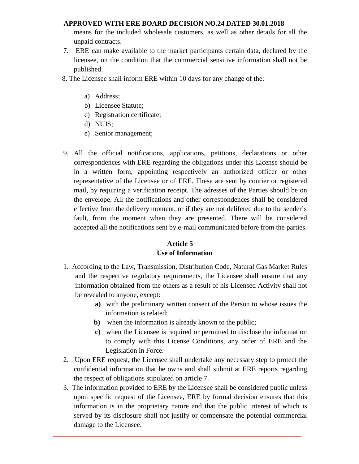means for the included wholesale customers, as well as other details for all the unpaid contracts.

- 7. ERE can make available to the market participants certain data, declared by the licensee, on the condition that the commercial sensitive information shall not be published.
- 8. The Licensee shall inform ERE within 10 days for any change of the:
	- a) Address;
	- b) Licensee Statute;
	- c) Registration certificate;
	- d) NUIS;
	- e) Senior management;
- 9. All the official notifications, applications, petitions, declarations or other correspondences with ERE regarding the obligations under this License should be in a written form, appointing respectively an authorized officer or other representative of the Licensee or of ERE. These are sent by courier or registered mail, by requiring a verification receipt. The adresses of the Parties should be on the envelope. All the notifications and other correspondences shall be considered effective from the delivery moment, or if they are not delifered due to the sender's fault, from the moment when they are presented. There will be considered accepted all the notifications sent by e-mail communicated before from the parties.

# **Article 5 Use of Information**

- 1. According to the Law, Transmission, Distribution Code, Natural Gas Market Rules and the respective regulatory requirements, the Licensee shall ensure that any information obtained from the others as a result of his Licensed Activity shall not be revealed to anyone, except:
	- **a)** with the preliminary written consent of the Person to whose issues the information is related;
	- **b)** when the information is already known to the public;
	- **c)** when the Licensee is required or permitted to disclose the information to comply with this License Conditions, any order of ERE and the Legislation in Force.
- 2. Upon ERE request, the Licensee shall undertake any necessary step to protect the confidential information that he owns and shall submit at ERE reports regarding the respect of obligations stipulated on article 7.
- 3. The information provided to ERE by the Licensee shall be considered public unless upon specific request of the Licensee, ERE by formal decision ensures that this information is in the proprietary nature and that the public interest of which is served by its disclosure shall not justify or compensate the potential commercial damage to the Licensee.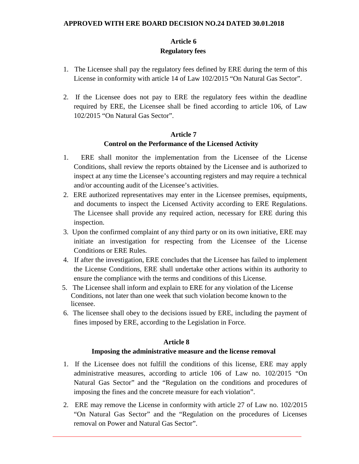# **Article 6 Regulatory fees**

- 1. The Licensee shall pay the regulatory fees defined by ERE during the term of this License in conformity with article 14 of Law 102/2015 "On Natural Gas Sector".
- 2. If the Licensee does not pay to ERE the regulatory fees within the deadline required by ERE, the Licensee shall be fined according to article 106, of Law 102/2015 "On Natural Gas Sector".

## **Article 7 Control on the Performance of the Licensed Activity**

- 1. ERE shall monitor the implementation from the Licensee of the License Conditions, shall review the reports obtained by the Licensee and is authorized to inspect at any time the Licensee's accounting registers and may require a technical and/or accounting audit of the Licensee's activities.
- 2. ERE authorized representatives may enter in the Licensee premises, equipments, and documents to inspect the Licensed Activity according to ERE Regulations. The Licensee shall provide any required action, necessary for ERE during this inspection.
- 3. Upon the confirmed complaint of any third party or on its own initiative, ERE may initiate an investigation for respecting from the Licensee of the License Conditions or ERE Rules.
- 4. If after the investigation, ERE concludes that the Licensee has failed to implement the License Conditions, ERE shall undertake other actions within its authority to ensure the compliance with the terms and conditions of this License.
- 5. The Licensee shall inform and explain to ERE for any violation of the License Conditions, not later than one week that such violation become known to the licensee.
- 6. The licensee shall obey to the decisions issued by ERE, including the payment of fines imposed by ERE, according to the Legislation in Force.

# **Article 8**

## **Imposing the administrative measure and the license removal**

- 1. If the Licensee does not fulfill the conditions of this license, ERE may apply administrative measures, according to article 106 of Law no. 102/2015 "On Natural Gas Sector" and the "Regulation on the conditions and procedures of imposing the fines and the concrete measure for each violation".
- 2. ERE may remove the License in conformity with article 27 of Law no. 102/2015 "On Natural Gas Sector" and the "Regulation on the procedures of Licenses removal on Power and Natural Gas Sector".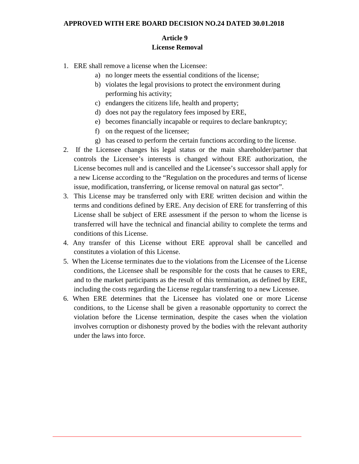## **Article 9 License Removal**

- 1. ERE shall remove a license when the Licensee:
	- a) no longer meets the essential conditions of the license;
	- b) violates the legal provisions to protect the environment during performing his activity;
	- c) endangers the citizens life, health and property;
	- d) does not pay the regulatory fees imposed by ERE,
	- e) becomes financially incapable or requires to declare bankruptcy;
	- f) on the request of the licensee;
	- g) has ceased to perform the certain functions according to the license.
- 2. If the Licensee changes his legal status or the main shareholder/partner that controls the Licensee's interests is changed without ERE authorization, the License becomes null and is cancelled and the Licensee's successor shall apply for a new License according to the "Regulation on the procedures and terms of license issue, modification, transferring, or license removal on natural gas sector".
- 3. This License may be transferred only with ERE written decision and within the terms and conditions defined by ERE. Any decision of ERE for transferring of this License shall be subject of ERE assessment if the person to whom the license is transferred will have the technical and financial ability to complete the terms and conditions of this License.
- 4. Any transfer of this License without ERE approval shall be cancelled and constitutes a violation of this License.
- 5. When the License terminates due to the violations from the Licensee of the License conditions, the Licensee shall be responsible for the costs that he causes to ERE, and to the market participants as the result of this termination, as defined by ERE, including the costs regarding the License regular transferring to a new Licensee.
- 6. When ERE determines that the Licensee has violated one or more License conditions, to the License shall be given a reasonable opportunity to correct the violation before the License termination, despite the cases when the violation involves corruption or dishonesty proved by the bodies with the relevant authority under the laws into force.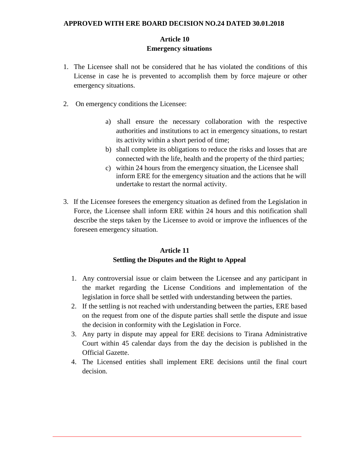# **Article 10 Emergency situations**

- 1. The Licensee shall not be considered that he has violated the conditions of this License in case he is prevented to accomplish them by force majeure or other emergency situations.
- 2. On emergency conditions the Licensee:
	- a) shall ensure the necessary collaboration with the respective authorities and institutions to act in emergency situations, to restart its activity within a short period of time;
	- b) shall complete its obligations to reduce the risks and losses that are connected with the life, health and the property of the third parties;
	- c) within 24 hours from the emergency situation, the Licensee shall inform ERE for the emergency situation and the actions that he will undertake to restart the normal activity.
- 3. If the Licensee foresees the emergency situation as defined from the Legislation in Force, the Licensee shall inform ERE within 24 hours and this notification shall describe the steps taken by the Licensee to avoid or improve the influences of the foreseen emergency situation.

## **Article 11 Settling the Disputes and the Right to Appeal**

- 1. Any controversial issue or claim between the Licensee and any participant in the market regarding the License Conditions and implementation of the legislation in force shall be settled with understanding between the parties.
- 2. If the settling is not reached with understanding between the parties, ERE based on the request from one of the dispute parties shall settle the dispute and issue the decision in conformity with the Legislation in Force.
- 3. Any party in dispute may appeal for ERE decisions to Tirana Administrative Court within 45 calendar days from the day the decision is published in the Official Gazette.
- 4. The Licensed entities shall implement ERE decisions until the final court decision.